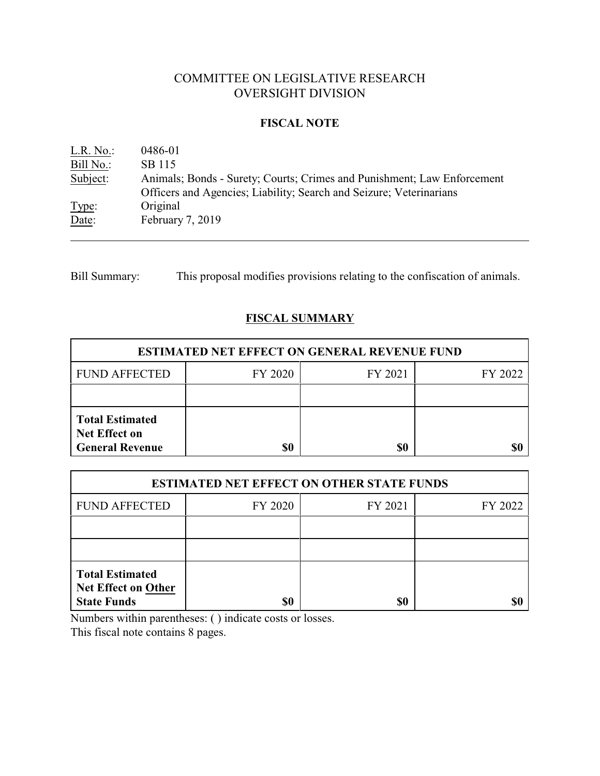# COMMITTEE ON LEGISLATIVE RESEARCH OVERSIGHT DIVISION

## **FISCAL NOTE**

| L.R. No.  | 0486-01                                                                                                                                        |
|-----------|------------------------------------------------------------------------------------------------------------------------------------------------|
| Bill No.: | SB 115                                                                                                                                         |
| Subject:  | Animals; Bonds - Surety; Courts; Crimes and Punishment; Law Enforcement<br>Officers and Agencies; Liability; Search and Seizure; Veterinarians |
| Type:     | Original                                                                                                                                       |
| Date:     | February 7, 2019                                                                                                                               |

Bill Summary: This proposal modifies provisions relating to the confiscation of animals.

## **FISCAL SUMMARY**

| <b>ESTIMATED NET EFFECT ON GENERAL REVENUE FUND</b>                      |         |         |         |  |
|--------------------------------------------------------------------------|---------|---------|---------|--|
| <b>FUND AFFECTED</b>                                                     | FY 2020 | FY 2021 | FY 2022 |  |
|                                                                          |         |         |         |  |
| <b>Total Estimated</b><br><b>Net Effect on</b><br><b>General Revenue</b> | \$0     | \$0     |         |  |

| <b>ESTIMATED NET EFFECT ON OTHER STATE FUNDS</b>                           |         |         |         |  |
|----------------------------------------------------------------------------|---------|---------|---------|--|
| <b>FUND AFFECTED</b>                                                       | FY 2020 | FY 2021 | FY 2022 |  |
|                                                                            |         |         |         |  |
|                                                                            |         |         |         |  |
| <b>Total Estimated</b><br><b>Net Effect on Other</b><br><b>State Funds</b> | \$0     | \$0     |         |  |

Numbers within parentheses: ( ) indicate costs or losses.

This fiscal note contains 8 pages.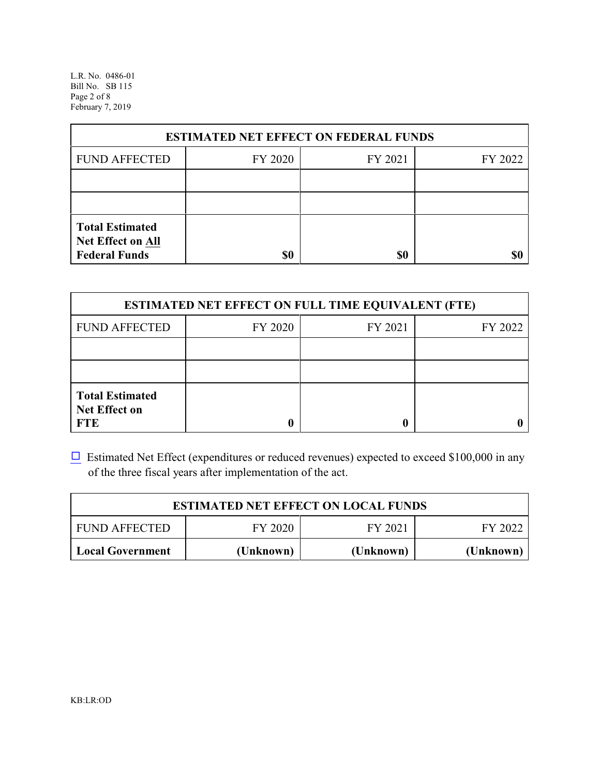L.R. No. 0486-01 Bill No. SB 115 Page 2 of 8 February 7, 2019

| <b>ESTIMATED NET EFFECT ON FEDERAL FUNDS</b>                        |         |         |         |  |
|---------------------------------------------------------------------|---------|---------|---------|--|
| <b>FUND AFFECTED</b>                                                | FY 2020 | FY 2021 | FY 2022 |  |
|                                                                     |         |         |         |  |
|                                                                     |         |         |         |  |
| <b>Total Estimated</b><br>Net Effect on All<br><b>Federal Funds</b> | \$0     | \$0     |         |  |

| <b>ESTIMATED NET EFFECT ON FULL TIME EQUIVALENT (FTE)</b>    |         |         |         |  |
|--------------------------------------------------------------|---------|---------|---------|--|
| <b>FUND AFFECTED</b>                                         | FY 2020 | FY 2021 | FY 2022 |  |
|                                                              |         |         |         |  |
|                                                              |         |         |         |  |
| <b>Total Estimated</b><br><b>Net Effect on</b><br><b>FTE</b> |         |         |         |  |

 $\Box$  Estimated Net Effect (expenditures or reduced revenues) expected to exceed \$100,000 in any of the three fiscal years after implementation of the act.

| <b>ESTIMATED NET EFFECT ON LOCAL FUNDS</b> |           |           |           |
|--------------------------------------------|-----------|-----------|-----------|
| <b>FUND AFFECTED</b>                       | FY 2020   | FY 2021   | FY 2022   |
| Local Government                           | (Unknown) | (Unknown) | (Unknown) |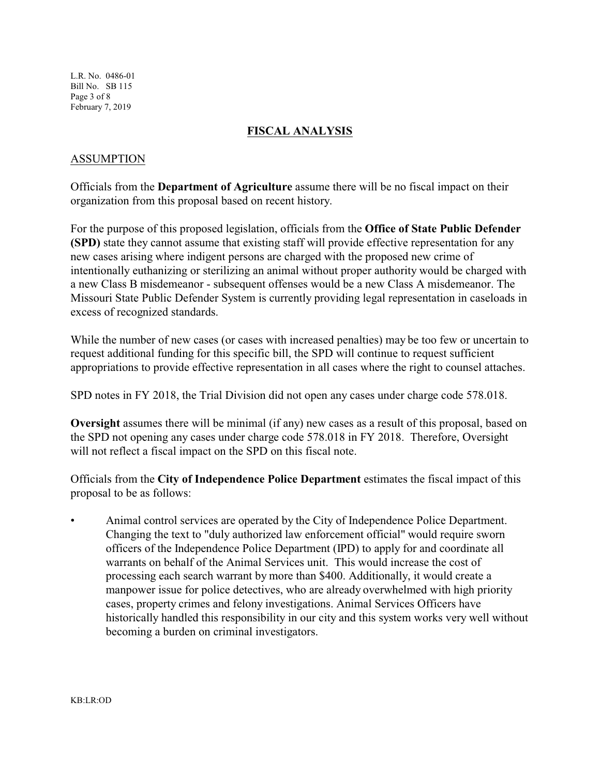L.R. No. 0486-01 Bill No. SB 115 Page 3 of 8 February 7, 2019

## **FISCAL ANALYSIS**

## ASSUMPTION

Officials from the **Department of Agriculture** assume there will be no fiscal impact on their organization from this proposal based on recent history.

For the purpose of this proposed legislation, officials from the **Office of State Public Defender (SPD)** state they cannot assume that existing staff will provide effective representation for any new cases arising where indigent persons are charged with the proposed new crime of intentionally euthanizing or sterilizing an animal without proper authority would be charged with a new Class B misdemeanor - subsequent offenses would be a new Class A misdemeanor. The Missouri State Public Defender System is currently providing legal representation in caseloads in excess of recognized standards.

While the number of new cases (or cases with increased penalties) may be too few or uncertain to request additional funding for this specific bill, the SPD will continue to request sufficient appropriations to provide effective representation in all cases where the right to counsel attaches.

SPD notes in FY 2018, the Trial Division did not open any cases under charge code 578.018.

**Oversight** assumes there will be minimal (if any) new cases as a result of this proposal, based on the SPD not opening any cases under charge code 578.018 in FY 2018. Therefore, Oversight will not reflect a fiscal impact on the SPD on this fiscal note.

Officials from the **City of Independence Police Department** estimates the fiscal impact of this proposal to be as follows:

• Animal control services are operated by the City of Independence Police Department. Changing the text to "duly authorized law enforcement official" would require sworn officers of the Independence Police Department (IPD) to apply for and coordinate all warrants on behalf of the Animal Services unit. This would increase the cost of processing each search warrant by more than \$400. Additionally, it would create a manpower issue for police detectives, who are already overwhelmed with high priority cases, property crimes and felony investigations. Animal Services Officers have historically handled this responsibility in our city and this system works very well without becoming a burden on criminal investigators.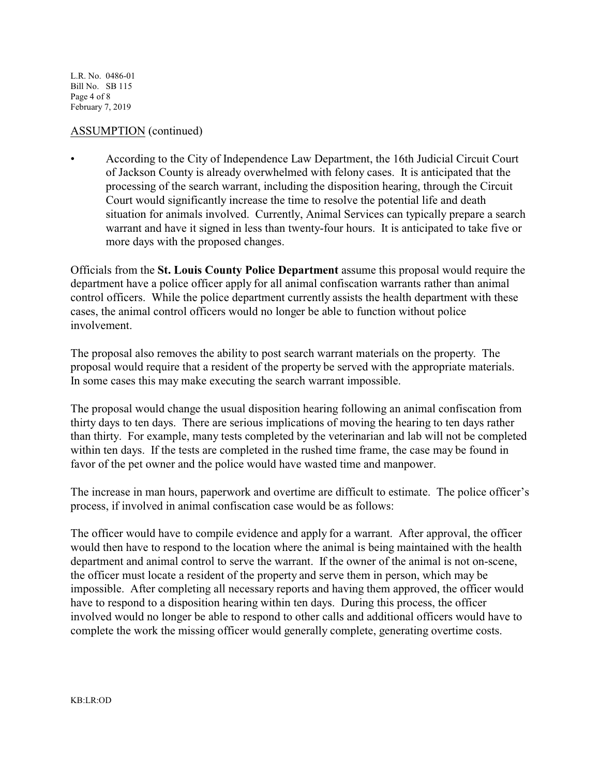L.R. No. 0486-01 Bill No. SB 115 Page 4 of 8 February 7, 2019

## ASSUMPTION (continued)

• According to the City of Independence Law Department, the 16th Judicial Circuit Court of Jackson County is already overwhelmed with felony cases. It is anticipated that the processing of the search warrant, including the disposition hearing, through the Circuit Court would significantly increase the time to resolve the potential life and death situation for animals involved. Currently, Animal Services can typically prepare a search warrant and have it signed in less than twenty-four hours. It is anticipated to take five or more days with the proposed changes.

Officials from the **St. Louis County Police Department** assume this proposal would require the department have a police officer apply for all animal confiscation warrants rather than animal control officers. While the police department currently assists the health department with these cases, the animal control officers would no longer be able to function without police involvement.

The proposal also removes the ability to post search warrant materials on the property. The proposal would require that a resident of the property be served with the appropriate materials. In some cases this may make executing the search warrant impossible.

The proposal would change the usual disposition hearing following an animal confiscation from thirty days to ten days. There are serious implications of moving the hearing to ten days rather than thirty. For example, many tests completed by the veterinarian and lab will not be completed within ten days. If the tests are completed in the rushed time frame, the case may be found in favor of the pet owner and the police would have wasted time and manpower.

The increase in man hours, paperwork and overtime are difficult to estimate. The police officer's process, if involved in animal confiscation case would be as follows:

The officer would have to compile evidence and apply for a warrant. After approval, the officer would then have to respond to the location where the animal is being maintained with the health department and animal control to serve the warrant. If the owner of the animal is not on-scene, the officer must locate a resident of the property and serve them in person, which may be impossible. After completing all necessary reports and having them approved, the officer would have to respond to a disposition hearing within ten days. During this process, the officer involved would no longer be able to respond to other calls and additional officers would have to complete the work the missing officer would generally complete, generating overtime costs.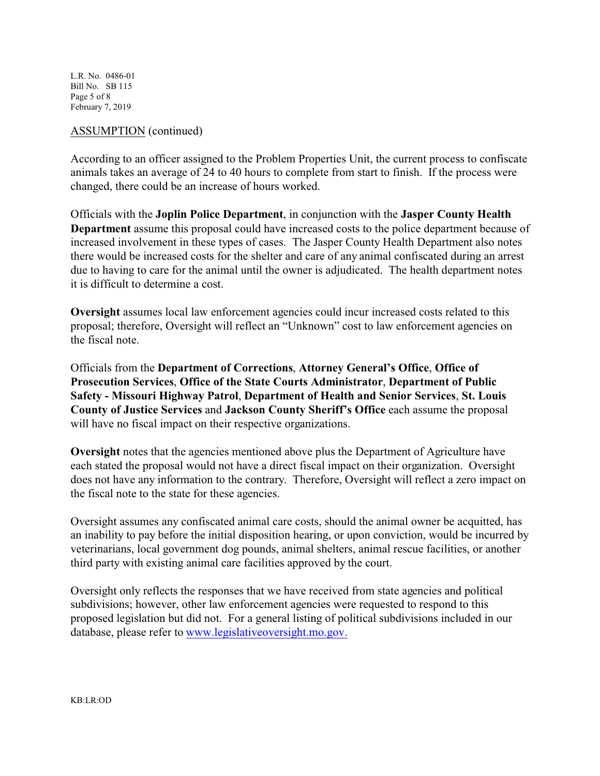L.R. No. 0486-01 Bill No. SB 115 Page 5 of 8 February 7, 2019

#### ASSUMPTION (continued)

According to an officer assigned to the Problem Properties Unit, the current process to confiscate animals takes an average of 24 to 40 hours to complete from start to finish. If the process were changed, there could be an increase of hours worked.

Officials with the **Joplin Police Department**, in conjunction with the **Jasper County Health Department** assume this proposal could have increased costs to the police department because of increased involvement in these types of cases. The Jasper County Health Department also notes there would be increased costs for the shelter and care of any animal confiscated during an arrest due to having to care for the animal until the owner is adjudicated. The health department notes it is difficult to determine a cost.

**Oversight** assumes local law enforcement agencies could incur increased costs related to this proposal; therefore, Oversight will reflect an "Unknown" cost to law enforcement agencies on the fiscal note.

Officials from the **Department of Corrections**, **Attorney General's Office**, **Office of Prosecution Services**, **Office of the State Courts Administrator**, **Department of Public Safety - Missouri Highway Patrol**, **Department of Health and Senior Services**, **St. Louis County of Justice Services** and **Jackson County Sheriff's Office** each assume the proposal will have no fiscal impact on their respective organizations.

**Oversight** notes that the agencies mentioned above plus the Department of Agriculture have each stated the proposal would not have a direct fiscal impact on their organization. Oversight does not have any information to the contrary. Therefore, Oversight will reflect a zero impact on the fiscal note to the state for these agencies.

Oversight assumes any confiscated animal care costs, should the animal owner be acquitted, has an inability to pay before the initial disposition hearing, or upon conviction, would be incurred by veterinarians, local government dog pounds, animal shelters, animal rescue facilities, or another third party with existing animal care facilities approved by the court.

Oversight only reflects the responses that we have received from state agencies and political subdivisions; however, other law enforcement agencies were requested to respond to this proposed legislation but did not. For a general listing of political subdivisions included in our database, please refer to [www.legislativeoversight.mo.gov.](http://www.legislativeoversight.mo.gov.)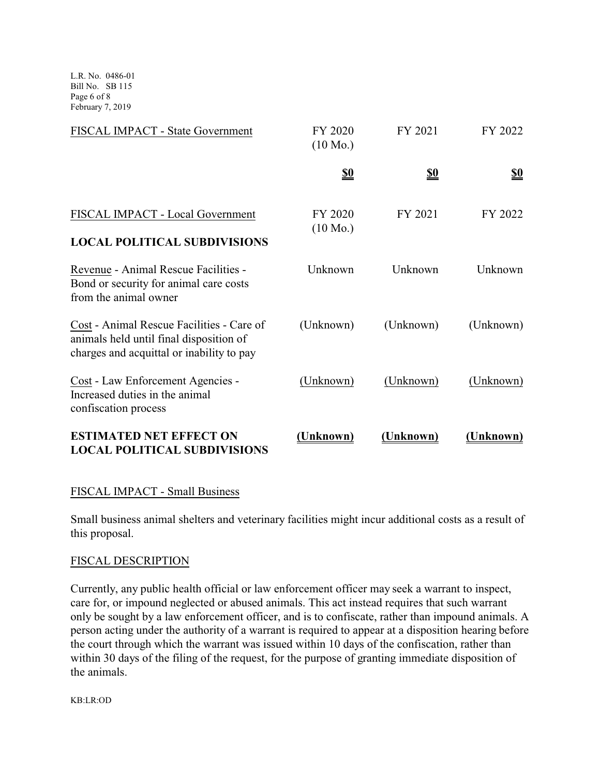L.R. No. 0486-01 Bill No. SB 115 Page 6 of 8 February 7, 2019

| FISCAL IMPACT - State Government                                                                                                  | FY 2020<br>$(10 \text{ Mo.})$ | FY 2021    | FY 2022    |
|-----------------------------------------------------------------------------------------------------------------------------------|-------------------------------|------------|------------|
|                                                                                                                                   | <u>\$0</u>                    | <u>\$0</u> | <u>\$0</u> |
| FISCAL IMPACT - Local Government<br><b>LOCAL POLITICAL SUBDIVISIONS</b>                                                           | FY 2020<br>$(10 \text{ Mo.})$ | FY 2021    | FY 2022    |
| Revenue - Animal Rescue Facilities -<br>Bond or security for animal care costs<br>from the animal owner                           | Unknown                       | Unknown    | Unknown    |
| Cost - Animal Rescue Facilities - Care of<br>animals held until final disposition of<br>charges and acquittal or inability to pay | (Unknown)                     | (Unknown)  | (Unknown)  |
| Cost - Law Enforcement Agencies -<br>Increased duties in the animal<br>confiscation process                                       | (Unknown)                     | (Unknown)  | (Unknown)  |
| <b>ESTIMATED NET EFFECT ON</b><br><b>LOCAL POLITICAL SUBDIVISIONS</b>                                                             | (Unknown)                     | (Unknown)  | (Unknown)  |

## FISCAL IMPACT - Small Business

Small business animal shelters and veterinary facilities might incur additional costs as a result of this proposal.

### FISCAL DESCRIPTION

Currently, any public health official or law enforcement officer may seek a warrant to inspect, care for, or impound neglected or abused animals. This act instead requires that such warrant only be sought by a law enforcement officer, and is to confiscate, rather than impound animals. A person acting under the authority of a warrant is required to appear at a disposition hearing before the court through which the warrant was issued within 10 days of the confiscation, rather than within 30 days of the filing of the request, for the purpose of granting immediate disposition of the animals.

KB:LR:OD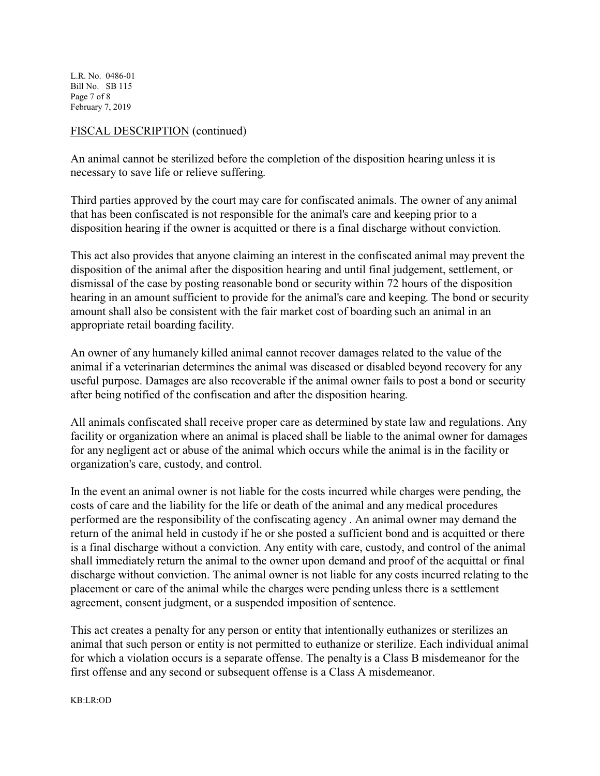L.R. No. 0486-01 Bill No. SB 115 Page 7 of 8 February 7, 2019

## FISCAL DESCRIPTION (continued)

An animal cannot be sterilized before the completion of the disposition hearing unless it is necessary to save life or relieve suffering.

Third parties approved by the court may care for confiscated animals. The owner of any animal that has been confiscated is not responsible for the animal's care and keeping prior to a disposition hearing if the owner is acquitted or there is a final discharge without conviction.

This act also provides that anyone claiming an interest in the confiscated animal may prevent the disposition of the animal after the disposition hearing and until final judgement, settlement, or dismissal of the case by posting reasonable bond or security within 72 hours of the disposition hearing in an amount sufficient to provide for the animal's care and keeping. The bond or security amount shall also be consistent with the fair market cost of boarding such an animal in an appropriate retail boarding facility.

An owner of any humanely killed animal cannot recover damages related to the value of the animal if a veterinarian determines the animal was diseased or disabled beyond recovery for any useful purpose. Damages are also recoverable if the animal owner fails to post a bond or security after being notified of the confiscation and after the disposition hearing.

All animals confiscated shall receive proper care as determined by state law and regulations. Any facility or organization where an animal is placed shall be liable to the animal owner for damages for any negligent act or abuse of the animal which occurs while the animal is in the facility or organization's care, custody, and control.

In the event an animal owner is not liable for the costs incurred while charges were pending, the costs of care and the liability for the life or death of the animal and any medical procedures performed are the responsibility of the confiscating agency . An animal owner may demand the return of the animal held in custody if he or she posted a sufficient bond and is acquitted or there is a final discharge without a conviction. Any entity with care, custody, and control of the animal shall immediately return the animal to the owner upon demand and proof of the acquittal or final discharge without conviction. The animal owner is not liable for any costs incurred relating to the placement or care of the animal while the charges were pending unless there is a settlement agreement, consent judgment, or a suspended imposition of sentence.

This act creates a penalty for any person or entity that intentionally euthanizes or sterilizes an animal that such person or entity is not permitted to euthanize or sterilize. Each individual animal for which a violation occurs is a separate offense. The penalty is a Class B misdemeanor for the first offense and any second or subsequent offense is a Class A misdemeanor.